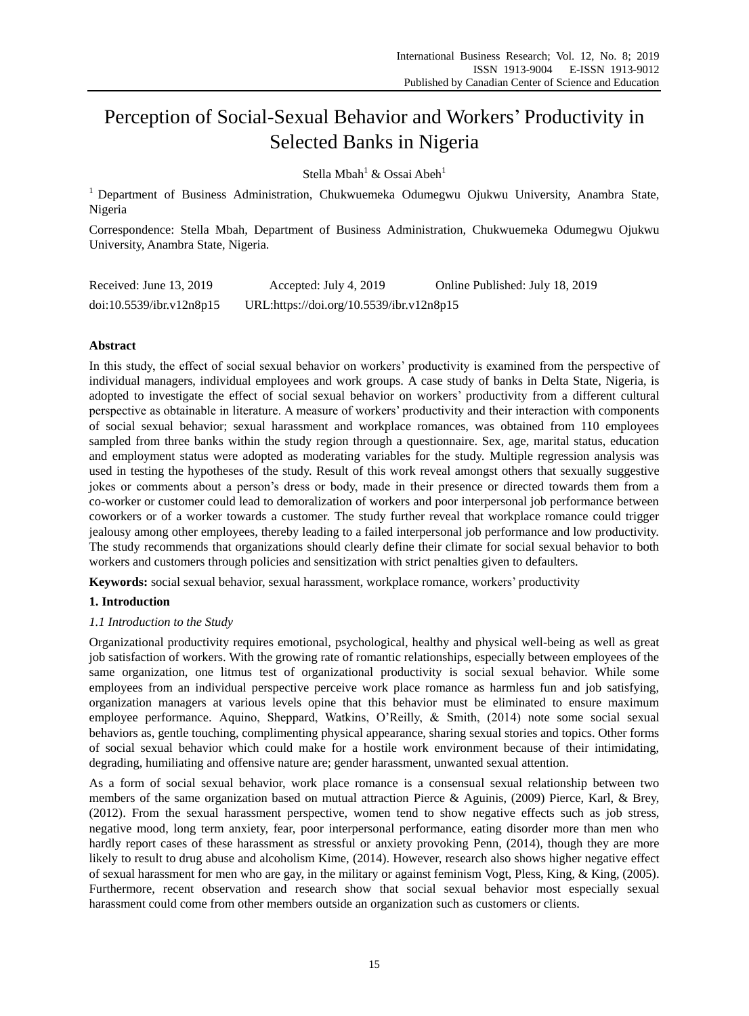# Perception of Social-Sexual Behavior and Workers' Productivity in Selected Banks in Nigeria

Stella Mbah<sup>1</sup> & Ossai Abeh<sup>1</sup>

<sup>1</sup> Department of Business Administration, Chukwuemeka Odumegwu Ojukwu University, Anambra State, Nigeria

Correspondence: Stella Mbah, Department of Business Administration, Chukwuemeka Odumegwu Ojukwu University, Anambra State, Nigeria.

| Received: June 13, 2019  | Accepted: July 4, 2019                   | Online Published: July 18, 2019 |
|--------------------------|------------------------------------------|---------------------------------|
| doi:10.5539/ibr.v12n8p15 | URL:https://doi.org/10.5539/ibr.v12n8p15 |                                 |

## **Abstract**

In this study, the effect of social sexual behavior on workers' productivity is examined from the perspective of individual managers, individual employees and work groups. A case study of banks in Delta State, Nigeria, is adopted to investigate the effect of social sexual behavior on workers' productivity from a different cultural perspective as obtainable in literature. A measure of workers' productivity and their interaction with components of social sexual behavior; sexual harassment and workplace romances, was obtained from 110 employees sampled from three banks within the study region through a questionnaire. Sex, age, marital status, education and employment status were adopted as moderating variables for the study. Multiple regression analysis was used in testing the hypotheses of the study. Result of this work reveal amongst others that sexually suggestive jokes or comments about a person's dress or body, made in their presence or directed towards them from a co-worker or customer could lead to demoralization of workers and poor interpersonal job performance between coworkers or of a worker towards a customer. The study further reveal that workplace romance could trigger jealousy among other employees, thereby leading to a failed interpersonal job performance and low productivity. The study recommends that organizations should clearly define their climate for social sexual behavior to both workers and customers through policies and sensitization with strict penalties given to defaulters.

**Keywords:** social sexual behavior, sexual harassment, workplace romance, workers' productivity

# **1. Introduction**

# *1.1 Introduction to the Study*

Organizational productivity requires emotional, psychological, healthy and physical well-being as well as great job satisfaction of workers. With the growing rate of romantic relationships, especially between employees of the same organization, one litmus test of organizational productivity is social sexual behavior. While some employees from an individual perspective perceive work place romance as harmless fun and job satisfying, organization managers at various levels opine that this behavior must be eliminated to ensure maximum employee performance. Aquino, Sheppard, Watkins, O'Reilly, & Smith, (2014) note some social sexual behaviors as, gentle touching, complimenting physical appearance, sharing sexual stories and topics. Other forms of social sexual behavior which could make for a hostile work environment because of their intimidating, degrading, humiliating and offensive nature are; gender harassment, unwanted sexual attention.

As a form of social sexual behavior, work place romance is a consensual sexual relationship between two members of the same organization based on mutual attraction Pierce & Aguinis, (2009) Pierce, Karl, & Brey, (2012). From the sexual harassment perspective, women tend to show negative effects such as job stress, negative mood, long term anxiety, fear, poor interpersonal performance, eating disorder more than men who hardly report cases of these harassment as stressful or anxiety provoking Penn, (2014), though they are more likely to result to drug abuse and alcoholism Kime, (2014). However, research also shows higher negative effect of sexual harassment for men who are gay, in the military or against feminism Vogt, Pless, King, & King, (2005). Furthermore, recent observation and research show that social sexual behavior most especially sexual harassment could come from other members outside an organization such as customers or clients.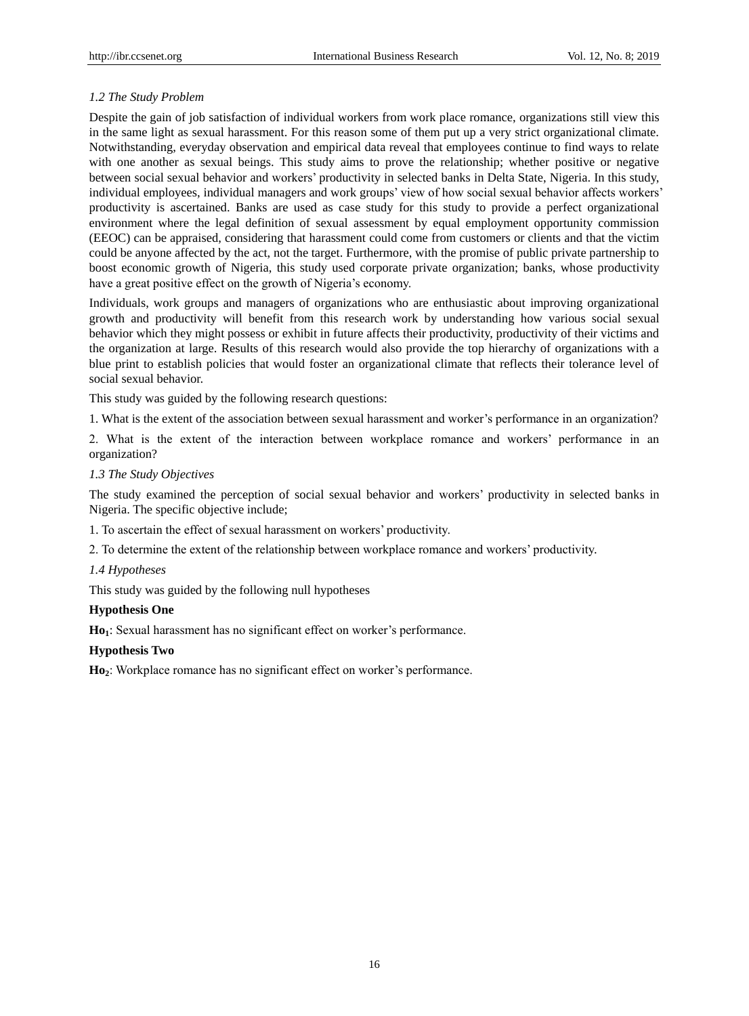## *1.2 The Study Problem*

Despite the gain of job satisfaction of individual workers from work place romance, organizations still view this in the same light as sexual harassment. For this reason some of them put up a very strict organizational climate. Notwithstanding, everyday observation and empirical data reveal that employees continue to find ways to relate with one another as sexual beings. This study aims to prove the relationship; whether positive or negative between social sexual behavior and workers' productivity in selected banks in Delta State, Nigeria. In this study, individual employees, individual managers and work groups' view of how social sexual behavior affects workers' productivity is ascertained. Banks are used as case study for this study to provide a perfect organizational environment where the legal definition of sexual assessment by equal employment opportunity commission (EEOC) can be appraised, considering that harassment could come from customers or clients and that the victim could be anyone affected by the act, not the target. Furthermore, with the promise of public private partnership to boost economic growth of Nigeria, this study used corporate private organization; banks, whose productivity have a great positive effect on the growth of Nigeria's economy.

Individuals, work groups and managers of organizations who are enthusiastic about improving organizational growth and productivity will benefit from this research work by understanding how various social sexual behavior which they might possess or exhibit in future affects their productivity, productivity of their victims and the organization at large. Results of this research would also provide the top hierarchy of organizations with a blue print to establish policies that would foster an organizational climate that reflects their tolerance level of social sexual behavior.

This study was guided by the following research questions:

1. What is the extent of the association between sexual harassment and worker's performance in an organization?

2. What is the extent of the interaction between workplace romance and workers' performance in an organization?

#### *1.3 The Study Objectives*

The study examined the perception of social sexual behavior and workers' productivity in selected banks in Nigeria. The specific objective include;

1. To ascertain the effect of sexual harassment on workers' productivity.

2. To determine the extent of the relationship between workplace romance and workers' productivity.

## *1.4 Hypotheses*

This study was guided by the following null hypotheses

## **Hypothesis One**

**Ho1**: Sexual harassment has no significant effect on worker's performance.

## **Hypothesis Two**

**Ho2**: Workplace romance has no significant effect on worker's performance.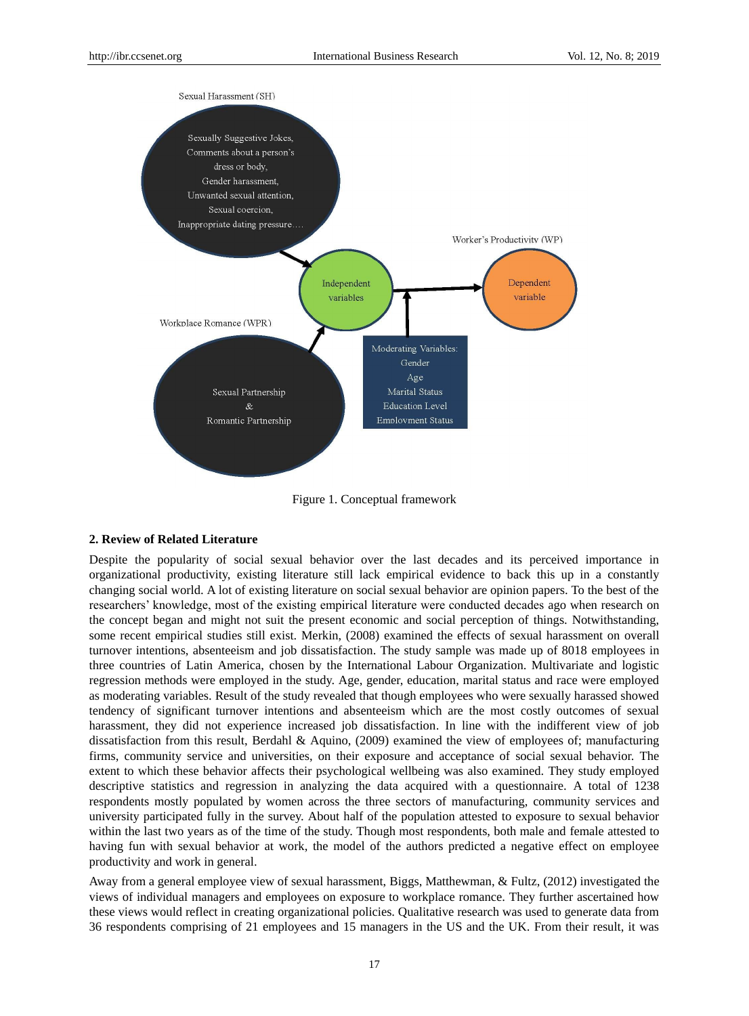

Figure 1. Conceptual framework

## **2. Review of Related Literature**

Despite the popularity of social sexual behavior over the last decades and its perceived importance in organizational productivity, existing literature still lack empirical evidence to back this up in a constantly changing social world. A lot of existing literature on social sexual behavior are opinion papers. To the best of the researchers' knowledge, most of the existing empirical literature were conducted decades ago when research on the concept began and might not suit the present economic and social perception of things. Notwithstanding, some recent empirical studies still exist. Merkin, (2008) examined the effects of sexual harassment on overall turnover intentions, absenteeism and job dissatisfaction. The study sample was made up of 8018 employees in three countries of Latin America, chosen by the International Labour Organization. Multivariate and logistic regression methods were employed in the study. Age, gender, education, marital status and race were employed as moderating variables. Result of the study revealed that though employees who were sexually harassed showed tendency of significant turnover intentions and absenteeism which are the most costly outcomes of sexual harassment, they did not experience increased job dissatisfaction. In line with the indifferent view of job dissatisfaction from this result, Berdahl & Aquino, (2009) examined the view of employees of; manufacturing firms, community service and universities, on their exposure and acceptance of social sexual behavior. The extent to which these behavior affects their psychological wellbeing was also examined. They study employed descriptive statistics and regression in analyzing the data acquired with a questionnaire. A total of 1238 respondents mostly populated by women across the three sectors of manufacturing, community services and university participated fully in the survey. About half of the population attested to exposure to sexual behavior within the last two years as of the time of the study. Though most respondents, both male and female attested to having fun with sexual behavior at work, the model of the authors predicted a negative effect on employee productivity and work in general.

Away from a general employee view of sexual harassment, Biggs, Matthewman, & Fultz, (2012) investigated the views of individual managers and employees on exposure to workplace romance. They further ascertained how these views would reflect in creating organizational policies. Qualitative research was used to generate data from 36 respondents comprising of 21 employees and 15 managers in the US and the UK. From their result, it was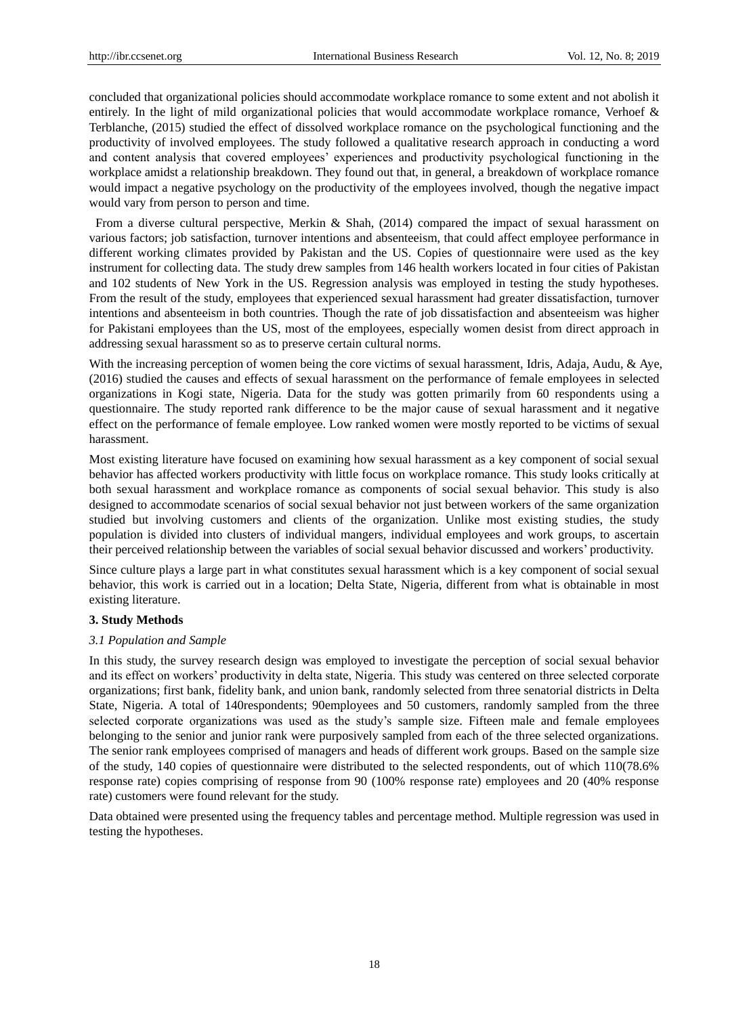concluded that organizational policies should accommodate workplace romance to some extent and not abolish it entirely. In the light of mild organizational policies that would accommodate workplace romance, Verhoef & Terblanche, (2015) studied the effect of dissolved workplace romance on the psychological functioning and the productivity of involved employees. The study followed a qualitative research approach in conducting a word and content analysis that covered employees' experiences and productivity psychological functioning in the workplace amidst a relationship breakdown. They found out that, in general, a breakdown of workplace romance would impact a negative psychology on the productivity of the employees involved, though the negative impact would vary from person to person and time.

From a diverse cultural perspective, Merkin & Shah, (2014) compared the impact of sexual harassment on various factors; job satisfaction, turnover intentions and absenteeism, that could affect employee performance in different working climates provided by Pakistan and the US. Copies of questionnaire were used as the key instrument for collecting data. The study drew samples from 146 health workers located in four cities of Pakistan and 102 students of New York in the US. Regression analysis was employed in testing the study hypotheses. From the result of the study, employees that experienced sexual harassment had greater dissatisfaction, turnover intentions and absenteeism in both countries. Though the rate of job dissatisfaction and absenteeism was higher for Pakistani employees than the US, most of the employees, especially women desist from direct approach in addressing sexual harassment so as to preserve certain cultural norms.

With the increasing perception of women being the core victims of sexual harassment, Idris, Adaja, Audu, & Aye, (2016) studied the causes and effects of sexual harassment on the performance of female employees in selected organizations in Kogi state, Nigeria. Data for the study was gotten primarily from 60 respondents using a questionnaire. The study reported rank difference to be the major cause of sexual harassment and it negative effect on the performance of female employee. Low ranked women were mostly reported to be victims of sexual harassment.

Most existing literature have focused on examining how sexual harassment as a key component of social sexual behavior has affected workers productivity with little focus on workplace romance. This study looks critically at both sexual harassment and workplace romance as components of social sexual behavior. This study is also designed to accommodate scenarios of social sexual behavior not just between workers of the same organization studied but involving customers and clients of the organization. Unlike most existing studies, the study population is divided into clusters of individual mangers, individual employees and work groups, to ascertain their perceived relationship between the variables of social sexual behavior discussed and workers' productivity.

Since culture plays a large part in what constitutes sexual harassment which is a key component of social sexual behavior, this work is carried out in a location; Delta State, Nigeria, different from what is obtainable in most existing literature.

#### **3. Study Methods**

#### *3.1 Population and Sample*

In this study, the survey research design was employed to investigate the perception of social sexual behavior and its effect on workers' productivity in delta state, Nigeria. This study was centered on three selected corporate organizations; first bank, fidelity bank, and union bank, randomly selected from three senatorial districts in Delta State, Nigeria. A total of 140respondents; 90employees and 50 customers, randomly sampled from the three selected corporate organizations was used as the study's sample size. Fifteen male and female employees belonging to the senior and junior rank were purposively sampled from each of the three selected organizations. The senior rank employees comprised of managers and heads of different work groups. Based on the sample size of the study, 140 copies of questionnaire were distributed to the selected respondents, out of which 110(78.6% response rate) copies comprising of response from 90 (100% response rate) employees and 20 (40% response rate) customers were found relevant for the study.

Data obtained were presented using the frequency tables and percentage method. Multiple regression was used in testing the hypotheses.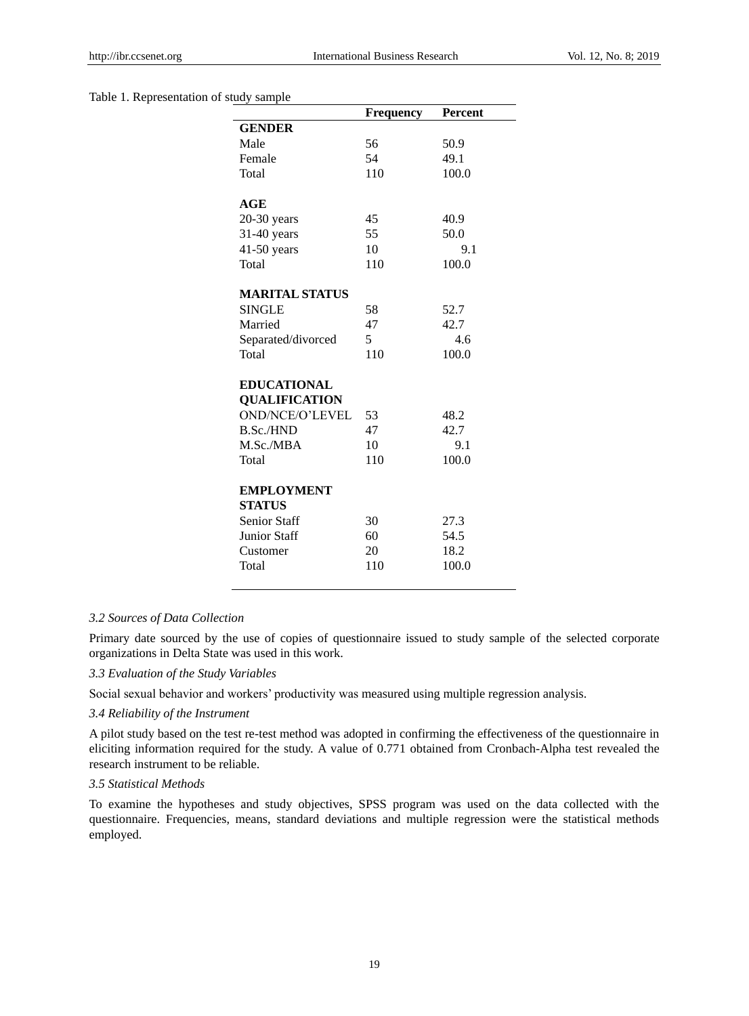#### Table 1. Representation of study sample

|                       | <b>Frequency</b> | <b>Percent</b> |
|-----------------------|------------------|----------------|
| <b>GENDER</b>         |                  |                |
| Male                  | 56               | 50.9           |
| Female                | 54               | 49.1           |
| Total                 | 110              | 100.0          |
|                       |                  |                |
| <b>AGE</b>            |                  |                |
| $20-30$ years         | 45               | 40.9           |
| 31-40 years           | 55               | 50.0           |
| $41-50$ years         | 10               | 9.1            |
| Total                 | 110              | 100.0          |
| <b>MARITAL STATUS</b> |                  |                |
| <b>SINGLE</b>         | 58               | 52.7           |
| Married               | 47               | 42.7           |
| Separated/divorced    | 5                | 4.6            |
| Total                 | 110              | 100.0          |
|                       |                  |                |
| <b>EDUCATIONAL</b>    |                  |                |
| <b>QUALIFICATION</b>  |                  |                |
| OND/NCE/O'LEVEL       | 53               | 48.2           |
| <b>B.Sc./HND</b>      | 47               | 42.7           |
| M.Sc./MBA             | 10               | 9.1            |
| Total                 | 110              | 100.0          |
| <b>EMPLOYMENT</b>     |                  |                |
| <b>STATUS</b>         |                  |                |
| <b>Senior Staff</b>   | 30               | 27.3           |
| Junior Staff          | 60               | 54.5           |
| Customer              | 20               | 18.2           |
| Total                 | 110              | 100.0          |
|                       |                  |                |

#### *3.2 Sources of Data Collection*

Primary date sourced by the use of copies of questionnaire issued to study sample of the selected corporate organizations in Delta State was used in this work.

*3.3 Evaluation of the Study Variables*

Social sexual behavior and workers' productivity was measured using multiple regression analysis.

## *3.4 Reliability of the Instrument*

A pilot study based on the test re-test method was adopted in confirming the effectiveness of the questionnaire in eliciting information required for the study. A value of 0.771 obtained from Cronbach-Alpha test revealed the research instrument to be reliable.

## *3.5 Statistical Methods*

To examine the hypotheses and study objectives, SPSS program was used on the data collected with the questionnaire. Frequencies, means, standard deviations and multiple regression were the statistical methods employed.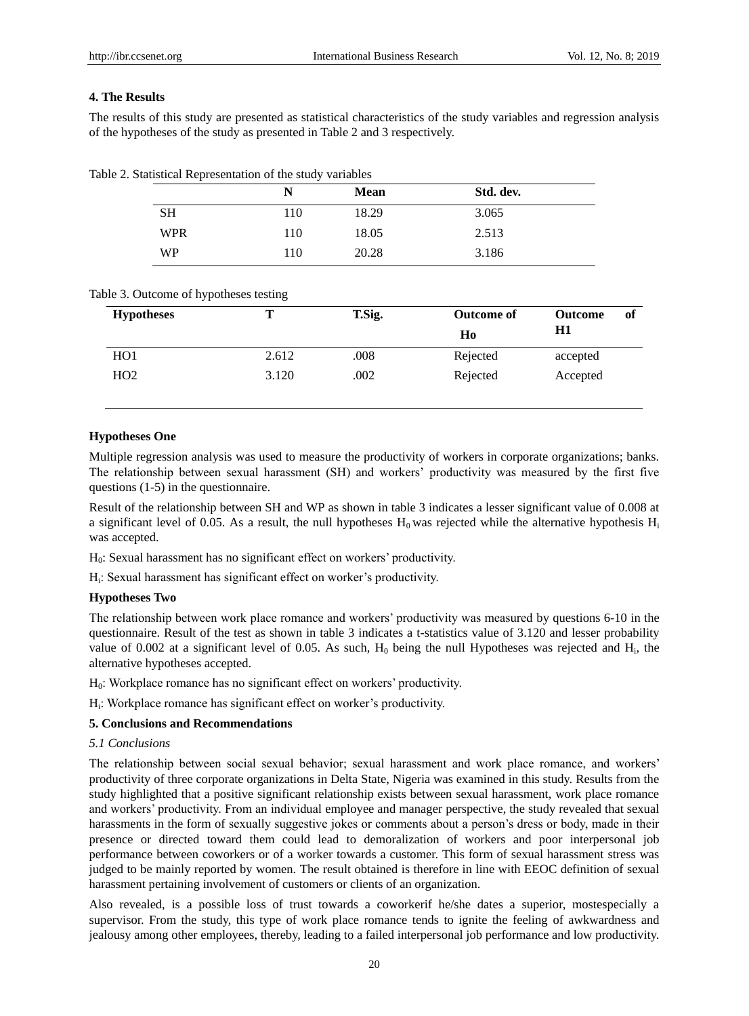#### **4. The Results**

The results of this study are presented as statistical characteristics of the study variables and regression analysis of the hypotheses of the study as presented in Table 2 and 3 respectively.

|  |  | Table 2. Statistical Representation of the study variables |
|--|--|------------------------------------------------------------|
|--|--|------------------------------------------------------------|

|            | N   | <b>Mean</b> | Std. dev. |  |
|------------|-----|-------------|-----------|--|
| <b>SH</b>  | 110 | 18.29       | 3.065     |  |
| <b>WPR</b> | 110 | 18.05       | 2.513     |  |
| WP         | 110 | 20.28       | 3.186     |  |

#### Table 3. Outcome of hypotheses testing

| <b>Hypotheses</b> |       | T.Sig. | <b>Outcome of</b> | <b>Outcome</b><br>H1 | of |
|-------------------|-------|--------|-------------------|----------------------|----|
|                   |       |        | Ho                |                      |    |
| H <sub>O</sub> 1  | 2.612 | .008   | Rejected          | accepted             |    |
| HO2               | 3.120 | .002   | Rejected          | Accepted             |    |

#### **Hypotheses One**

Multiple regression analysis was used to measure the productivity of workers in corporate organizations; banks. The relationship between sexual harassment (SH) and workers' productivity was measured by the first five questions (1-5) in the questionnaire.

Result of the relationship between SH and WP as shown in table 3 indicates a lesser significant value of 0.008 at a significant level of 0.05. As a result, the null hypotheses  $H_0$  was rejected while the alternative hypothesis  $H_i$ was accepted.

H0: Sexual harassment has no significant effect on workers' productivity.

Hi : Sexual harassment has significant effect on worker's productivity.

#### **Hypotheses Two**

The relationship between work place romance and workers' productivity was measured by questions 6-10 in the questionnaire. Result of the test as shown in table 3 indicates a t-statistics value of 3.120 and lesser probability value of 0.002 at a significant level of 0.05. As such,  $H_0$  being the null Hypotheses was rejected and  $H_i$ , the alternative hypotheses accepted.

 $H<sub>0</sub>$ : Workplace romance has no significant effect on workers' productivity.

Hi : Workplace romance has significant effect on worker's productivity.

# **5. Conclusions and Recommendations**

## *5.1 Conclusions*

The relationship between social sexual behavior; sexual harassment and work place romance, and workers' productivity of three corporate organizations in Delta State, Nigeria was examined in this study. Results from the study highlighted that a positive significant relationship exists between sexual harassment, work place romance and workers' productivity. From an individual employee and manager perspective, the study revealed that sexual harassments in the form of sexually suggestive jokes or comments about a person's dress or body, made in their presence or directed toward them could lead to demoralization of workers and poor interpersonal job performance between coworkers or of a worker towards a customer. This form of sexual harassment stress was judged to be mainly reported by women. The result obtained is therefore in line with EEOC definition of sexual harassment pertaining involvement of customers or clients of an organization.

Also revealed, is a possible loss of trust towards a coworkerif he/she dates a superior, mostespecially a supervisor. From the study, this type of work place romance tends to ignite the feeling of awkwardness and jealousy among other employees, thereby, leading to a failed interpersonal job performance and low productivity.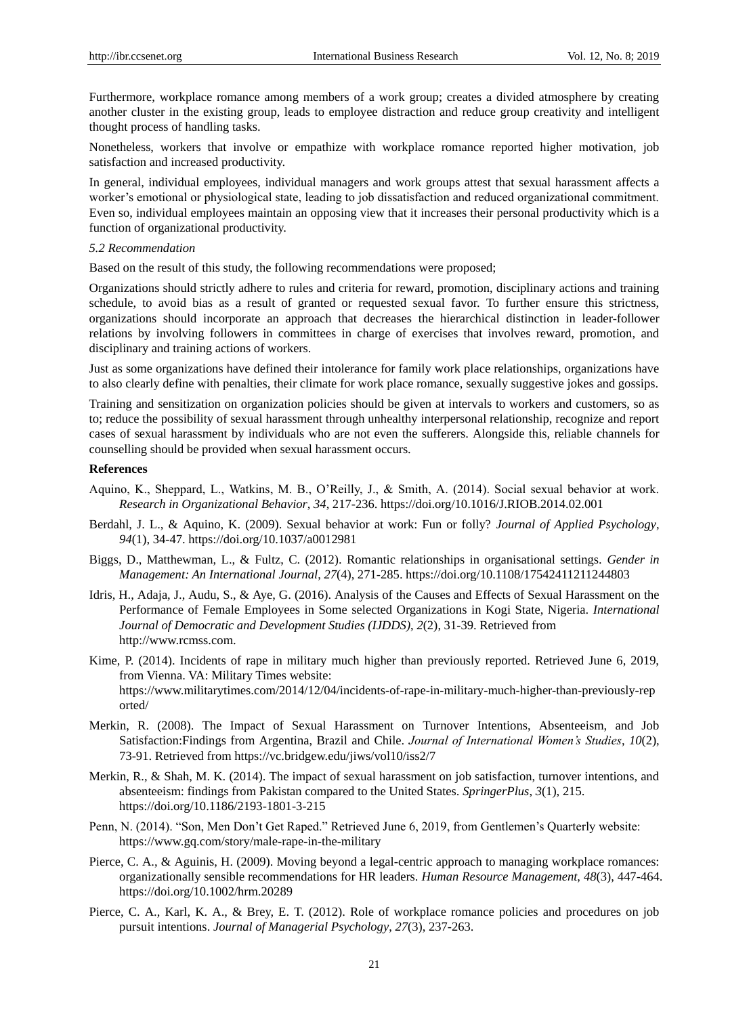Furthermore, workplace romance among members of a work group; creates a divided atmosphere by creating another cluster in the existing group, leads to employee distraction and reduce group creativity and intelligent thought process of handling tasks.

Nonetheless, workers that involve or empathize with workplace romance reported higher motivation, job satisfaction and increased productivity.

In general, individual employees, individual managers and work groups attest that sexual harassment affects a worker's emotional or physiological state, leading to job dissatisfaction and reduced organizational commitment. Even so, individual employees maintain an opposing view that it increases their personal productivity which is a function of organizational productivity.

## *5.2 Recommendation*

Based on the result of this study, the following recommendations were proposed;

Organizations should strictly adhere to rules and criteria for reward, promotion, disciplinary actions and training schedule, to avoid bias as a result of granted or requested sexual favor. To further ensure this strictness, organizations should incorporate an approach that decreases the hierarchical distinction in leader-follower relations by involving followers in committees in charge of exercises that involves reward, promotion, and disciplinary and training actions of workers.

Just as some organizations have defined their intolerance for family work place relationships, organizations have to also clearly define with penalties, their climate for work place romance, sexually suggestive jokes and gossips.

Training and sensitization on organization policies should be given at intervals to workers and customers, so as to; reduce the possibility of sexual harassment through unhealthy interpersonal relationship, recognize and report cases of sexual harassment by individuals who are not even the sufferers. Alongside this, reliable channels for counselling should be provided when sexual harassment occurs.

#### **References**

- Aquino, K., Sheppard, L., Watkins, M. B., O'Reilly, J., & Smith, A. (2014). Social sexual behavior at work. *Research in Organizational Behavior*, *34*, 217-236. https://doi.org/10.1016/J.RIOB.2014.02.001
- Berdahl, J. L., & Aquino, K. (2009). Sexual behavior at work: Fun or folly? *Journal of Applied Psychology*, *94*(1), 34-47. https://doi.org/10.1037/a0012981
- Biggs, D., Matthewman, L., & Fultz, C. (2012). Romantic relationships in organisational settings. *Gender in Management: An International Journal*, *27*(4), 271-285. https://doi.org/10.1108/17542411211244803
- Idris, H., Adaja, J., Audu, S., & Aye, G. (2016). Analysis of the Causes and Effects of Sexual Harassment on the Performance of Female Employees in Some selected Organizations in Kogi State, Nigeria. *International Journal of Democratic and Development Studies (IJDDS)*, *2*(2), 31-39. Retrieved from http://www.rcmss.com.
- Kime, P. (2014). Incidents of rape in military much higher than previously reported. Retrieved June 6, 2019, from Vienna. VA: Military Times website: https://www.militarytimes.com/2014/12/04/incidents-of-rape-in-military-much-higher-than-previously-rep orted/
- Merkin, R. (2008). The Impact of Sexual Harassment on Turnover Intentions, Absenteeism, and Job Satisfaction:Findings from Argentina, Brazil and Chile. *Journal of International Women's Studies*, *10*(2), 73-91. Retrieved from https://vc.bridgew.edu/jiws/vol10/iss2/7
- Merkin, R., & Shah, M. K. (2014). The impact of sexual harassment on job satisfaction, turnover intentions, and absenteeism: findings from Pakistan compared to the United States. *SpringerPlus*, *3*(1), 215. https://doi.org/10.1186/2193-1801-3-215
- Penn, N. (2014). "Son, Men Don't Get Raped." Retrieved June 6, 2019, from Gentlemen's Quarterly website: https://www.gq.com/story/male-rape-in-the-military
- Pierce, C. A., & Aguinis, H. (2009). Moving beyond a legal-centric approach to managing workplace romances: organizationally sensible recommendations for HR leaders. *Human Resource Management*, *48*(3), 447-464. https://doi.org/10.1002/hrm.20289
- Pierce, C. A., Karl, K. A., & Brey, E. T. (2012). Role of workplace romance policies and procedures on job pursuit intentions. *Journal of Managerial Psychology*, *27*(3), 237-263.